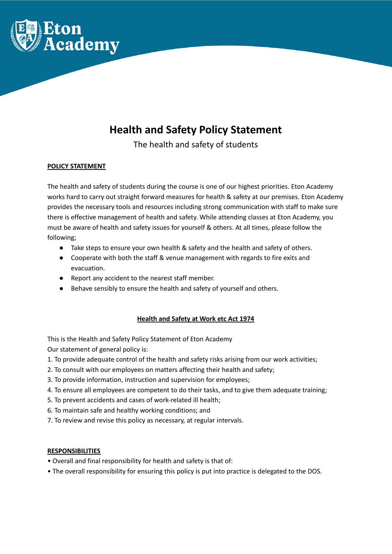

# **Health and Safety Policy Statement**

The health and safety of students

# **POLICY STATEMENT**

The health and safety of students during the course is one of our highest priorities. Eton Academy works hard to carry out straight forward measures for health & safety at our premises. Eton Academy provides the necessary tools and resources including strong communication with staff to make sure there is effective management of health and safety. While attending classes at Eton Academy, you must be aware of health and safety issues for yourself & others. At all times, please follow the following;

- Take steps to ensure your own health & safety and the health and safety of others.
- Cooperate with both the staff & venue management with regards to fire exits and evacuation.
- Report any accident to the nearest staff member.
- Behave sensibly to ensure the health and safety of yourself and others.

# **Health and Safety at Work etc Act 1974**

This is the Health and Safety Policy Statement of Eton Academy

Our statement of general policy is:

- 1. To provide adequate control of the health and safety risks arising from our work activities;
- 2. To consult with our employees on matters affecting their health and safety;
- 3. To provide information, instruction and supervision for employees;
- 4. To ensure all employees are competent to do their tasks, and to give them adequate training;
- 5. To prevent accidents and cases of work-related ill health;
- 6. To maintain safe and healthy working conditions; and
- 7. To review and revise this policy as necessary, at regular intervals.

# **RESPONSIBILITIES**

- Overall and final responsibility for health and safety is that of:
- The overall responsibility for ensuring this policy is put into practice is delegated to the DOS.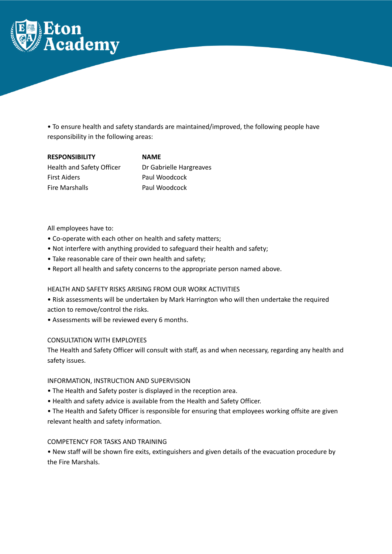

• To ensure health and safety standards are maintained/improved, the following people have responsibility in the following areas:

| <b>RESPONSIBILITY</b>     | <b>NAME</b>             |
|---------------------------|-------------------------|
| Health and Safety Officer | Dr Gabrielle Hargreaves |
| <b>First Aiders</b>       | Paul Woodcock           |
| <b>Fire Marshalls</b>     | Paul Woodcock           |

All employees have to:

- Co-operate with each other on health and safety matters;
- Not interfere with anything provided to safeguard their health and safety;
- Take reasonable care of their own health and safety;
- Report all health and safety concerns to the appropriate person named above.

### HEALTH AND SAFETY RISKS ARISING FROM OUR WORK ACTIVITIES

• Risk assessments will be undertaken by Mark Harrington who will then undertake the required action to remove/control the risks.

• Assessments will be reviewed every 6 months.

### CONSULTATION WITH EMPLOYEES

The Health and Safety Officer will consult with staff, as and when necessary, regarding any health and safety issues.

### INFORMATION, INSTRUCTION AND SUPERVISION

- The Health and Safety poster is displayed in the reception area.
- Health and safety advice is available from the Health and Safety Officer.
- The Health and Safety Officer is responsible for ensuring that employees working offsite are given relevant health and safety information.

### COMPETENCY FOR TASKS AND TRAINING

• New staff will be shown fire exits, extinguishers and given details of the evacuation procedure by the Fire Marshals.